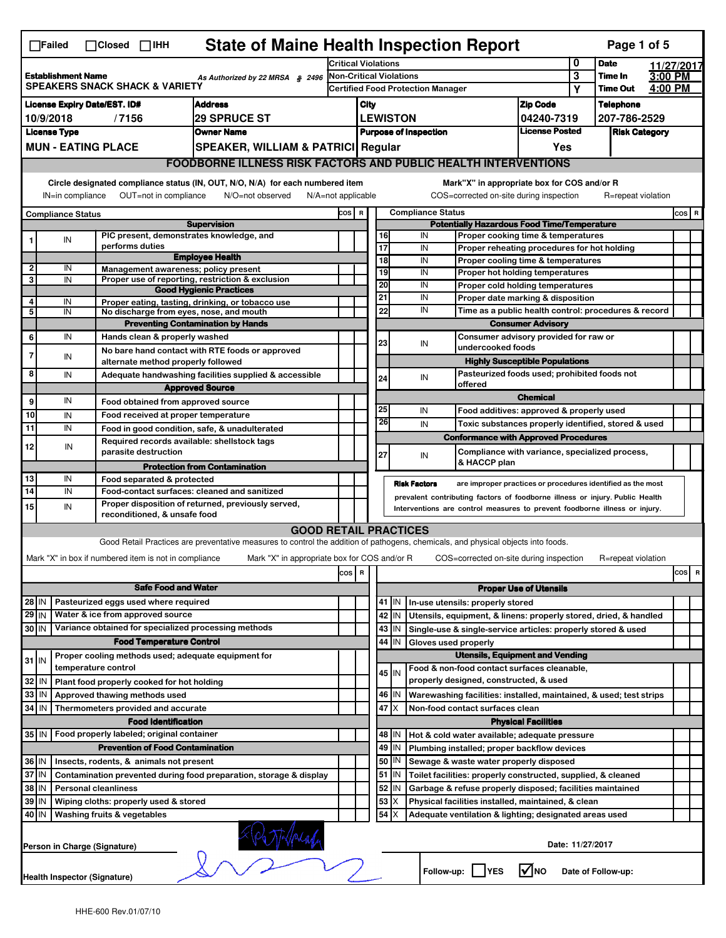|                                                                                                            | <b>State of Maine Health Inspection Report</b><br>Page 1 of 5<br>$\Box$ Failed<br>$\Box$ Closed $\Box$ IHH                                                                                                                                                                                |                                                                                      |                                                                                                                                   |                                                                              |                                                    |                                          |                       |                          |                                                                                       |                                       |                      |                    |            |       |   |
|------------------------------------------------------------------------------------------------------------|-------------------------------------------------------------------------------------------------------------------------------------------------------------------------------------------------------------------------------------------------------------------------------------------|--------------------------------------------------------------------------------------|-----------------------------------------------------------------------------------------------------------------------------------|------------------------------------------------------------------------------|----------------------------------------------------|------------------------------------------|-----------------------|--------------------------|---------------------------------------------------------------------------------------|---------------------------------------|----------------------|--------------------|------------|-------|---|
|                                                                                                            |                                                                                                                                                                                                                                                                                           |                                                                                      |                                                                                                                                   |                                                                              | <b>Critical Violations</b>                         |                                          |                       |                          |                                                                                       |                                       | 0                    | <b>Date</b>        | 11/27/2017 |       |   |
| <b>Establishment Name</b><br>As Authorized by 22 MRSA § 2496<br><b>SPEAKERS SNACK SHACK &amp; VARIETY</b>  |                                                                                                                                                                                                                                                                                           |                                                                                      | <b>Non-Critical Violations</b>                                                                                                    |                                                                              |                                                    |                                          |                       |                          |                                                                                       | 3                                     | Time In              | 3:00 PM            |            |       |   |
|                                                                                                            |                                                                                                                                                                                                                                                                                           |                                                                                      |                                                                                                                                   |                                                                              |                                                    | <b>Certified Food Protection Manager</b> |                       |                          |                                                                                       |                                       | Υ                    | <b>Time Out</b>    | 4:00 PM    |       |   |
| <b>Address</b><br>License Expiry Date/EST. ID#                                                             |                                                                                                                                                                                                                                                                                           |                                                                                      |                                                                                                                                   |                                                                              | <b>Zip Code</b><br>City                            |                                          |                       |                          |                                                                                       |                                       |                      | <b>Telephone</b>   |            |       |   |
|                                                                                                            | 10/9/2018                                                                                                                                                                                                                                                                                 | /7156                                                                                | <b>29 SPRUCE ST</b>                                                                                                               |                                                                              |                                                    |                                          | <b>LEWISTON</b>       |                          |                                                                                       | 04240-7319<br><b>License Posted</b>   |                      | 207-786-2529       |            |       |   |
|                                                                                                            | <b>License Type</b>                                                                                                                                                                                                                                                                       |                                                                                      | <b>Owner Name</b>                                                                                                                 |                                                                              | <b>Purpose of Inspection</b>                       |                                          |                       |                          |                                                                                       |                                       | <b>Risk Category</b> |                    |            |       |   |
|                                                                                                            | <b>MUN - EATING PLACE</b><br>SPEAKER, WILLIAM & PATRICI Regular                                                                                                                                                                                                                           |                                                                                      |                                                                                                                                   |                                                                              |                                                    |                                          |                       |                          |                                                                                       | Yes                                   |                      |                    |            |       |   |
|                                                                                                            | <b>FOODBORNE ILLNESS RISK FACTORS AND PUBLIC HEALTH INTERVENTIONS</b>                                                                                                                                                                                                                     |                                                                                      |                                                                                                                                   |                                                                              |                                                    |                                          |                       |                          |                                                                                       |                                       |                      |                    |            |       |   |
|                                                                                                            | Circle designated compliance status (IN, OUT, N/O, N/A) for each numbered item<br>Mark"X" in appropriate box for COS and/or R<br>OUT=not in compliance<br>COS=corrected on-site during inspection<br>R=repeat violation<br>IN=in compliance<br>N/O=not observed<br>$N/A = not$ applicable |                                                                                      |                                                                                                                                   |                                                                              |                                                    |                                          |                       |                          |                                                                                       |                                       |                      |                    |            |       |   |
|                                                                                                            | <b>Compliance Status</b>                                                                                                                                                                                                                                                                  |                                                                                      |                                                                                                                                   | cos                                                                          | $\mathbf R$                                        |                                          |                       | <b>Compliance Status</b> |                                                                                       |                                       |                      |                    |            | COS R |   |
|                                                                                                            |                                                                                                                                                                                                                                                                                           |                                                                                      | <b>Supervision</b>                                                                                                                |                                                                              | <b>Potentially Hazardous Food Time/Temperature</b> |                                          |                       |                          |                                                                                       |                                       |                      |                    |            |       |   |
|                                                                                                            | IN                                                                                                                                                                                                                                                                                        | PIC present, demonstrates knowledge, and                                             |                                                                                                                                   |                                                                              |                                                    |                                          | 16                    | IN                       | Proper cooking time & temperatures                                                    |                                       |                      |                    |            |       |   |
|                                                                                                            |                                                                                                                                                                                                                                                                                           | performs duties                                                                      | <b>Employee Health</b>                                                                                                            |                                                                              |                                                    |                                          | 17                    | IN                       | Proper reheating procedures for hot holding                                           |                                       |                      |                    |            |       |   |
| $\overline{2}$                                                                                             | IN                                                                                                                                                                                                                                                                                        | Management awareness: policy present                                                 |                                                                                                                                   |                                                                              |                                                    |                                          | $\overline{18}$<br>19 | IN<br>IN                 | Proper cooling time & temperatures<br>Proper hot holding temperatures                 |                                       |                      |                    |            |       |   |
| 3                                                                                                          | IN                                                                                                                                                                                                                                                                                        |                                                                                      | Proper use of reporting, restriction & exclusion                                                                                  |                                                                              |                                                    |                                          | 20                    | IN                       | Proper cold holding temperatures                                                      |                                       |                      |                    |            |       |   |
| 4                                                                                                          |                                                                                                                                                                                                                                                                                           |                                                                                      | <b>Good Hygienic Practices</b>                                                                                                    |                                                                              |                                                    |                                          | 21                    | IN                       | Proper date marking & disposition                                                     |                                       |                      |                    |            |       |   |
| 5                                                                                                          | IN<br>IN                                                                                                                                                                                                                                                                                  | No discharge from eyes, nose, and mouth                                              | Proper eating, tasting, drinking, or tobacco use                                                                                  |                                                                              |                                                    |                                          | 22                    | IN                       | Time as a public health control: procedures & record                                  |                                       |                      |                    |            |       |   |
|                                                                                                            |                                                                                                                                                                                                                                                                                           |                                                                                      | <b>Preventing Contamination by Hands</b>                                                                                          |                                                                              |                                                    |                                          |                       |                          |                                                                                       | <b>Consumer Advisory</b>              |                      |                    |            |       |   |
| 6                                                                                                          | IN                                                                                                                                                                                                                                                                                        | Hands clean & properly washed                                                        |                                                                                                                                   |                                                                              |                                                    |                                          | 23                    | IN                       | Consumer advisory provided for raw or                                                 |                                       |                      |                    |            |       |   |
| $\overline{7}$                                                                                             | IN                                                                                                                                                                                                                                                                                        |                                                                                      | No bare hand contact with RTE foods or approved                                                                                   |                                                                              |                                                    |                                          |                       |                          | undercooked foods                                                                     |                                       |                      |                    |            |       |   |
|                                                                                                            |                                                                                                                                                                                                                                                                                           | alternate method properly followed                                                   |                                                                                                                                   |                                                                              |                                                    |                                          |                       |                          |                                                                                       | <b>Highly Susceptible Populations</b> |                      |                    |            |       |   |
| 8                                                                                                          | IN                                                                                                                                                                                                                                                                                        |                                                                                      | Adequate handwashing facilities supplied & accessible                                                                             |                                                                              |                                                    |                                          | 24                    | IN                       | Pasteurized foods used; prohibited foods not<br>offered                               |                                       |                      |                    |            |       |   |
| 9                                                                                                          | IN                                                                                                                                                                                                                                                                                        |                                                                                      | <b>Approved Source</b>                                                                                                            |                                                                              |                                                    |                                          |                       |                          |                                                                                       | <b>Chemical</b>                       |                      |                    |            |       |   |
| 10                                                                                                         |                                                                                                                                                                                                                                                                                           | Food obtained from approved source                                                   |                                                                                                                                   |                                                                              |                                                    |                                          | 25                    | IN                       | Food additives: approved & properly used                                              |                                       |                      |                    |            |       |   |
| $\overline{11}$                                                                                            | IN<br>IN                                                                                                                                                                                                                                                                                  | Food received at proper temperature                                                  |                                                                                                                                   |                                                                              |                                                    |                                          | 26                    | IN                       | Toxic substances properly identified, stored & used                                   |                                       |                      |                    |            |       |   |
|                                                                                                            |                                                                                                                                                                                                                                                                                           | Required records available: shellstock tags                                          | Food in good condition, safe, & unadulterated                                                                                     |                                                                              |                                                    |                                          |                       |                          | <b>Conformance with Approved Procedures</b>                                           |                                       |                      |                    |            |       |   |
| 12                                                                                                         | IN                                                                                                                                                                                                                                                                                        | parasite destruction                                                                 |                                                                                                                                   |                                                                              |                                                    |                                          | 27                    | IN                       | Compliance with variance, specialized process,                                        |                                       |                      |                    |            |       |   |
|                                                                                                            |                                                                                                                                                                                                                                                                                           |                                                                                      | <b>Protection from Contamination</b>                                                                                              |                                                                              |                                                    |                                          |                       |                          | & HACCP plan                                                                          |                                       |                      |                    |            |       |   |
| 13                                                                                                         | IN                                                                                                                                                                                                                                                                                        | Food separated & protected                                                           |                                                                                                                                   |                                                                              |                                                    |                                          | <b>Risk Factors</b>   |                          | are improper practices or procedures identified as the most                           |                                       |                      |                    |            |       |   |
| 14                                                                                                         | IN                                                                                                                                                                                                                                                                                        |                                                                                      | Food-contact surfaces: cleaned and sanitized                                                                                      | prevalent contributing factors of foodborne illness or injury. Public Health |                                                    |                                          |                       |                          |                                                                                       |                                       |                      |                    |            |       |   |
| 15                                                                                                         | IN                                                                                                                                                                                                                                                                                        | reconditioned, & unsafe food                                                         | Proper disposition of returned, previously served,                                                                                |                                                                              |                                                    |                                          |                       |                          | Interventions are control measures to prevent foodborne illness or injury.            |                                       |                      |                    |            |       |   |
|                                                                                                            |                                                                                                                                                                                                                                                                                           |                                                                                      | <b>GOOD RETAIL PRACTICES</b>                                                                                                      |                                                                              |                                                    |                                          |                       |                          |                                                                                       |                                       |                      |                    |            |       |   |
|                                                                                                            |                                                                                                                                                                                                                                                                                           |                                                                                      | Good Retail Practices are preventative measures to control the addition of pathogens, chemicals, and physical objects into foods. |                                                                              |                                                    |                                          |                       |                          |                                                                                       |                                       |                      |                    |            |       |   |
|                                                                                                            |                                                                                                                                                                                                                                                                                           | Mark "X" in box if numbered item is not in compliance                                | Mark "X" in appropriate box for COS and/or R                                                                                      |                                                                              |                                                    |                                          |                       |                          | COS=corrected on-site during inspection                                               |                                       |                      | R=repeat violation |            |       |   |
|                                                                                                            |                                                                                                                                                                                                                                                                                           |                                                                                      |                                                                                                                                   | cos R                                                                        |                                                    |                                          |                       |                          |                                                                                       |                                       |                      |                    |            | cos   | R |
|                                                                                                            |                                                                                                                                                                                                                                                                                           | <b>Safe Food and Water</b>                                                           |                                                                                                                                   |                                                                              |                                                    |                                          |                       |                          |                                                                                       | <b>Proper Use of Utensils</b>         |                      |                    |            |       |   |
| $28$ IN                                                                                                    |                                                                                                                                                                                                                                                                                           | Pasteurized eggs used where required                                                 |                                                                                                                                   |                                                                              |                                                    |                                          | 41<br>IN              |                          | In-use utensils: properly stored                                                      |                                       |                      |                    |            |       |   |
| $29$ IN                                                                                                    |                                                                                                                                                                                                                                                                                           | Water & ice from approved source                                                     |                                                                                                                                   |                                                                              |                                                    |                                          | 42 IN                 |                          | Utensils, equipment, & linens: properly stored, dried, & handled                      |                                       |                      |                    |            |       |   |
| 30 IN                                                                                                      |                                                                                                                                                                                                                                                                                           | Variance obtained for specialized processing methods                                 |                                                                                                                                   |                                                                              |                                                    |                                          | $43$ IN               |                          | Single-use & single-service articles: properly stored & used                          |                                       |                      |                    |            |       |   |
|                                                                                                            |                                                                                                                                                                                                                                                                                           | <b>Food Temperature Control</b>                                                      |                                                                                                                                   |                                                                              |                                                    |                                          | 44<br>IN              |                          | Gloves used properly                                                                  |                                       |                      |                    |            |       |   |
| $31$ IN                                                                                                    |                                                                                                                                                                                                                                                                                           | Proper cooling methods used; adequate equipment for                                  |                                                                                                                                   |                                                                              |                                                    |                                          |                       |                          | <b>Utensils, Equipment and Vending</b>                                                |                                       |                      |                    |            |       |   |
|                                                                                                            |                                                                                                                                                                                                                                                                                           | temperature control                                                                  |                                                                                                                                   |                                                                              |                                                    |                                          | 45 IN                 |                          | Food & non-food contact surfaces cleanable,                                           |                                       |                      |                    |            |       |   |
| 32                                                                                                         | IN                                                                                                                                                                                                                                                                                        | Plant food properly cooked for hot holding                                           |                                                                                                                                   |                                                                              |                                                    |                                          |                       |                          | properly designed, constructed, & used                                                |                                       |                      |                    |            |       |   |
| 33                                                                                                         | IN                                                                                                                                                                                                                                                                                        | Approved thawing methods used                                                        |                                                                                                                                   |                                                                              |                                                    |                                          | 46 IN                 |                          | Warewashing facilities: installed, maintained, & used; test strips                    |                                       |                      |                    |            |       |   |
| 34                                                                                                         | l IN                                                                                                                                                                                                                                                                                      | Thermometers provided and accurate                                                   |                                                                                                                                   |                                                                              |                                                    |                                          | 47<br>ΙX              |                          | Non-food contact surfaces clean                                                       |                                       |                      |                    |            |       |   |
|                                                                                                            |                                                                                                                                                                                                                                                                                           | <b>Food Identification</b>                                                           |                                                                                                                                   |                                                                              |                                                    |                                          |                       |                          |                                                                                       | <b>Physical Facilities</b>            |                      |                    |            |       |   |
| 35 IN                                                                                                      |                                                                                                                                                                                                                                                                                           | Food properly labeled; original container<br><b>Prevention of Food Contamination</b> |                                                                                                                                   |                                                                              |                                                    |                                          | 48   IN<br>49         |                          | Hot & cold water available; adequate pressure                                         |                                       |                      |                    |            |       |   |
| 36 IN                                                                                                      |                                                                                                                                                                                                                                                                                           | Insects, rodents, & animals not present                                              |                                                                                                                                   |                                                                              |                                                    |                                          | IN<br>50<br>IN        |                          | Plumbing installed; proper backflow devices<br>Sewage & waste water properly disposed |                                       |                      |                    |            |       |   |
| 37 IN                                                                                                      |                                                                                                                                                                                                                                                                                           |                                                                                      | Contamination prevented during food preparation, storage & display                                                                |                                                                              |                                                    |                                          | $51$ $\vert$ IN       |                          | Toilet facilities: properly constructed, supplied, & cleaned                          |                                       |                      |                    |            |       |   |
| 38                                                                                                         | IN                                                                                                                                                                                                                                                                                        | <b>Personal cleanliness</b>                                                          |                                                                                                                                   |                                                                              |                                                    |                                          | 52<br>IN              |                          | Garbage & refuse properly disposed; facilities maintained                             |                                       |                      |                    |            |       |   |
| 39                                                                                                         | IN                                                                                                                                                                                                                                                                                        | Wiping cloths: properly used & stored                                                |                                                                                                                                   |                                                                              |                                                    |                                          | 53<br>X               |                          | Physical facilities installed, maintained, & clean                                    |                                       |                      |                    |            |       |   |
| 40 IN                                                                                                      |                                                                                                                                                                                                                                                                                           | Washing fruits & vegetables                                                          |                                                                                                                                   |                                                                              |                                                    |                                          | 54<br>х               |                          |                                                                                       |                                       |                      |                    |            |       |   |
| Adequate ventilation & lighting; designated areas used<br>Date: 11/27/2017<br>Person in Charge (Signature) |                                                                                                                                                                                                                                                                                           |                                                                                      |                                                                                                                                   |                                                                              |                                                    |                                          |                       |                          |                                                                                       |                                       |                      |                    |            |       |   |
|                                                                                                            | Follow-up:<br>l√lno<br><b>YES</b><br>Date of Follow-up:<br>Health Inspector (Signature)                                                                                                                                                                                                   |                                                                                      |                                                                                                                                   |                                                                              |                                                    |                                          |                       |                          |                                                                                       |                                       |                      |                    |            |       |   |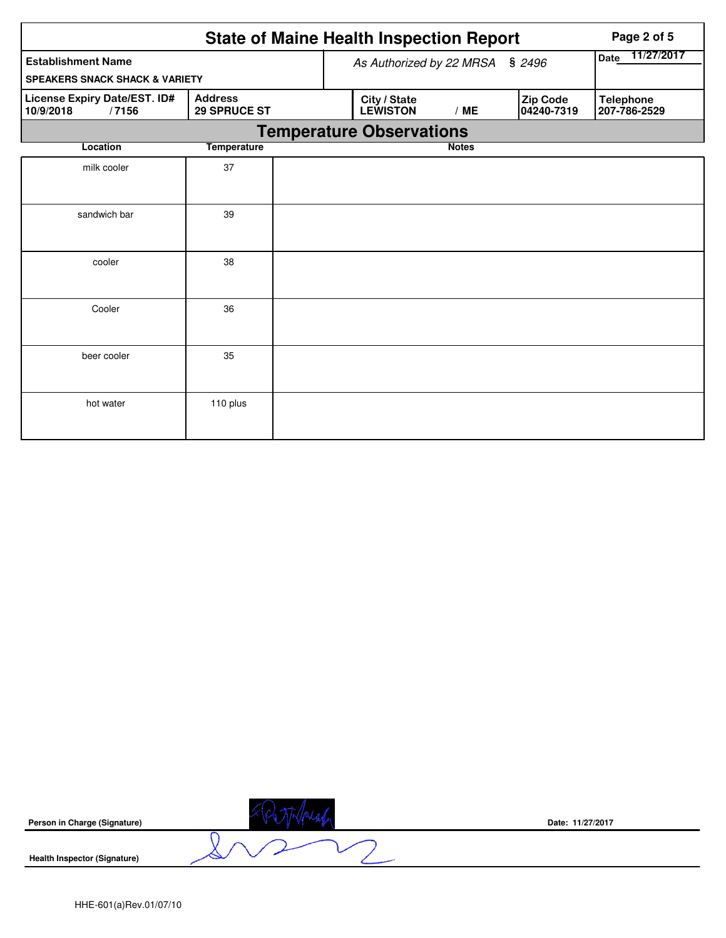|                                                    |                                       | <b>State of Maine Health Inspection Report</b> | Page 2 of 5  |                        |                                  |
|----------------------------------------------------|---------------------------------------|------------------------------------------------|--------------|------------------------|----------------------------------|
| <b>Establishment Name</b>                          |                                       | As Authorized by 22 MRSA § 2496                |              |                        | 11/27/2017<br><b>Date</b>        |
| <b>SPEAKERS SNACK SHACK &amp; VARIETY</b>          |                                       |                                                |              |                        |                                  |
| License Expiry Date/EST. ID#<br>10/9/2018<br>/7156 | <b>Address</b><br><b>29 SPRUCE ST</b> | City / State<br><b>LEWISTON</b>                | /ME          | Zip Code<br>04240-7319 | <b>Telephone</b><br>207-786-2529 |
|                                                    |                                       | <b>Temperature Observations</b>                |              |                        |                                  |
| Location                                           | <b>Temperature</b>                    |                                                | <b>Notes</b> |                        |                                  |
| milk cooler                                        | 37                                    |                                                |              |                        |                                  |
| sandwich bar                                       | 39                                    |                                                |              |                        |                                  |
| cooler                                             | 38                                    |                                                |              |                        |                                  |
| Cooler                                             | 36                                    |                                                |              |                        |                                  |
| beer cooler                                        | 35                                    |                                                |              |                        |                                  |
| hot water                                          | 110 plus                              |                                                |              |                        |                                  |

| Person in Charge (Signature)        | Date: 11/27/2017 |
|-------------------------------------|------------------|
| <b>Health Inspector (Signature)</b> |                  |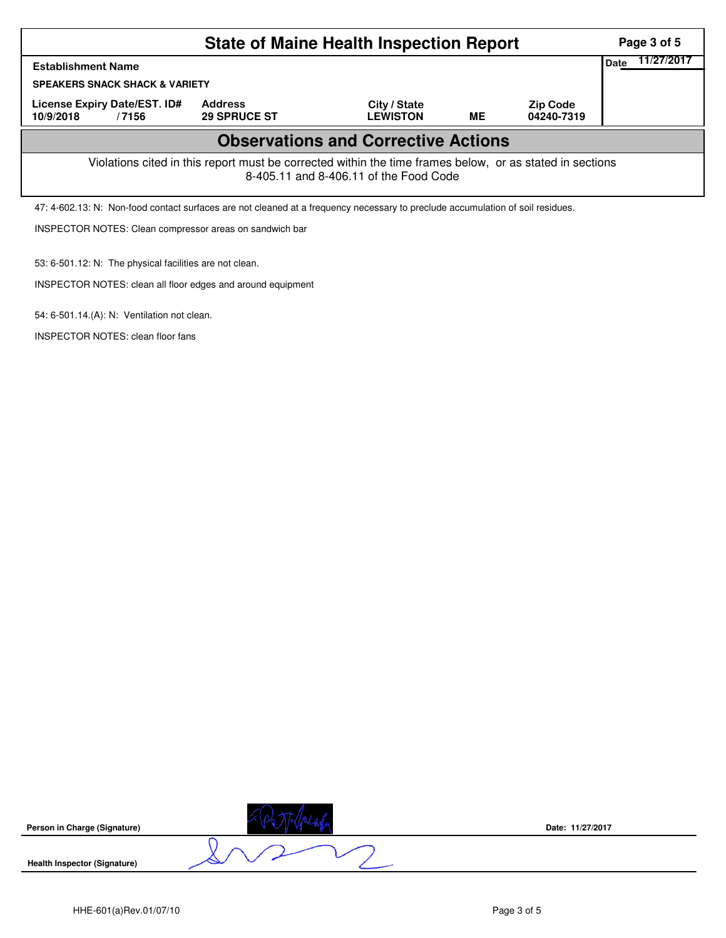|                                                                                                                                                    | Page 3 of 5                                                                                                                    |                                 |    |                               |                    |  |  |
|----------------------------------------------------------------------------------------------------------------------------------------------------|--------------------------------------------------------------------------------------------------------------------------------|---------------------------------|----|-------------------------------|--------------------|--|--|
| <b>Establishment Name</b>                                                                                                                          |                                                                                                                                |                                 |    |                               | 11/27/2017<br>Date |  |  |
| <b>SPEAKERS SNACK SHACK &amp; VARIETY</b>                                                                                                          |                                                                                                                                |                                 |    |                               |                    |  |  |
| License Expiry Date/EST. ID#<br>10/9/2018<br>/7156                                                                                                 | <b>Address</b><br><b>29 SPRUCE ST</b>                                                                                          | City / State<br><b>LEWISTON</b> | ME | <b>Zip Code</b><br>04240-7319 |                    |  |  |
|                                                                                                                                                    |                                                                                                                                |                                 |    |                               |                    |  |  |
| Violations cited in this report must be corrected within the time frames below, or as stated in sections<br>8-405.11 and 8-406.11 of the Food Code |                                                                                                                                |                                 |    |                               |                    |  |  |
|                                                                                                                                                    | 47: 4-602.13: N: Non-food contact surfaces are not cleaned at a frequency necessary to preclude accumulation of soil residues. |                                 |    |                               |                    |  |  |
| INSPECTOR NOTES: Clean compressor areas on sandwich bar                                                                                            |                                                                                                                                |                                 |    |                               |                    |  |  |

53: 6-501.12: N: The physical facilities are not clean.

INSPECTOR NOTES: clean all floor edges and around equipment

54: 6-501.14.(A): N: Ventilation not clean.

INSPECTOR NOTES: clean floor fans

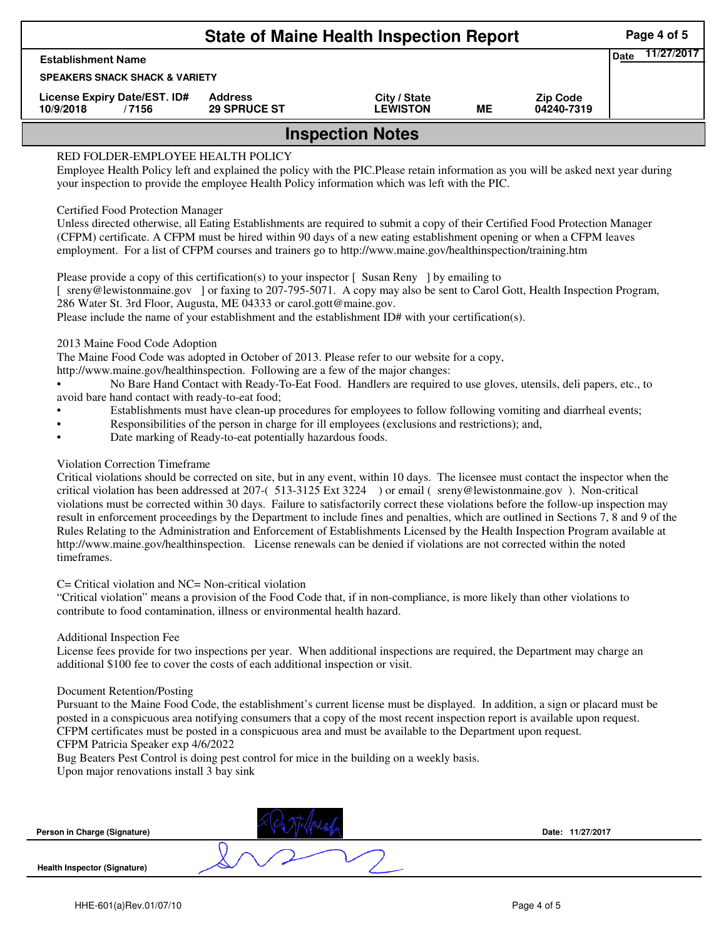|                                           |                                           | <b>State of Maine Health Inspection Report</b>                                                                                                                                                                                                                                                                                                                                                                                                                                                                                                                                                  |                                 |           |                               | Page 4 of 5               |
|-------------------------------------------|-------------------------------------------|-------------------------------------------------------------------------------------------------------------------------------------------------------------------------------------------------------------------------------------------------------------------------------------------------------------------------------------------------------------------------------------------------------------------------------------------------------------------------------------------------------------------------------------------------------------------------------------------------|---------------------------------|-----------|-------------------------------|---------------------------|
| <b>Establishment Name</b>                 |                                           |                                                                                                                                                                                                                                                                                                                                                                                                                                                                                                                                                                                                 |                                 |           |                               | 11/27/2017<br><b>Date</b> |
|                                           | <b>SPEAKERS SNACK SHACK &amp; VARIETY</b> |                                                                                                                                                                                                                                                                                                                                                                                                                                                                                                                                                                                                 |                                 |           |                               |                           |
| License Expiry Date/EST. ID#<br>10/9/2018 | /7156                                     | <b>Address</b><br><b>29 SPRUCE ST</b>                                                                                                                                                                                                                                                                                                                                                                                                                                                                                                                                                           | City / State<br><b>LEWISTON</b> | <b>ME</b> | <b>Zip Code</b><br>04240-7319 |                           |
|                                           |                                           |                                                                                                                                                                                                                                                                                                                                                                                                                                                                                                                                                                                                 | <b>Inspection Notes</b>         |           |                               |                           |
|                                           | <b>Certified Food Protection Manager</b>  | Unless directed otherwise, all Eating Establishments are required to submit a copy of their Certified Food Protection Manager<br>(CFPM) certificate. A CFPM must be hired within 90 days of a new eating establishment opening or when a CFPM leaves<br>employment. For a list of CFPM courses and trainers go to http://www.maine.gov/healthinspection/training.htm<br>Please provide a copy of this certification(s) to your inspector [Susan Reny ] by emailing to<br>sreny@lewistonmaine.gov ] or faxing to 207-795-5071. A copy may also be sent to Carol Gott, Health Inspection Program, |                                 |           |                               |                           |
|                                           |                                           | 286 Water St. 3rd Floor, Augusta, ME 04333 or carol.gott@maine.gov.<br>Please include the name of your establishment and the establishment ID# with your certification(s).                                                                                                                                                                                                                                                                                                                                                                                                                      |                                 |           |                               |                           |

- Responsibilities of the person in charge for ill employees (exclusions and restrictions); and,
- Date marking of Ready-to-eat potentially hazardous foods.

## Violation Correction Timeframe

Critical violations should be corrected on site, but in any event, within 10 days. The licensee must contact the inspector when the critical violation has been addressed at 207-( 513-3125 Ext 3224 ) or email ( sreny@lewistonmaine.gov ). Non-critical violations must be corrected within 30 days. Failure to satisfactorily correct these violations before the follow-up inspection may result in enforcement proceedings by the Department to include fines and penalties, which are outlined in Sections 7, 8 and 9 of the Rules Relating to the Administration and Enforcement of Establishments Licensed by the Health Inspection Program available at http://www.maine.gov/healthinspection. License renewals can be denied if violations are not corrected within the noted timeframes.

## C= Critical violation and NC= Non-critical violation

"Critical violation" means a provision of the Food Code that, if in non-compliance, is more likely than other violations to contribute to food contamination, illness or environmental health hazard.

## Additional Inspection Fee

License fees provide for two inspections per year. When additional inspections are required, the Department may charge an additional \$100 fee to cover the costs of each additional inspection or visit.

## Document Retention/Posting

Pursuant to the Maine Food Code, the establishment's current license must be displayed. In addition, a sign or placard must be posted in a conspicuous area notifying consumers that a copy of the most recent inspection report is available upon request. CFPM certificates must be posted in a conspicuous area and must be available to the Department upon request.

CFPM Patricia Speaker exp 4/6/2022

Bug Beaters Pest Control is doing pest control for mice in the building on a weekly basis. Upon major renovations install 3 bay sink